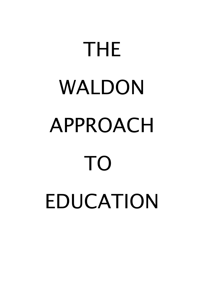# THE WALDON APPROACH TO EDUCATION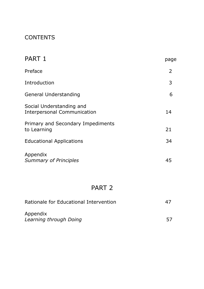# **CONTENTS**

| PART 1                                                         | page           |
|----------------------------------------------------------------|----------------|
| Preface                                                        | $\overline{2}$ |
| Introduction                                                   | 3              |
| General Understanding                                          | 6              |
| Social Understanding and<br><b>Interpersonal Communication</b> | 14             |
| Primary and Secondary Impediments<br>to Learning               | 21             |
| <b>Educational Applications</b>                                | 34             |
| Appendix<br><b>Summary of Principles</b>                       | 45             |

# PART 2

| Rationale for Educational Intervention | 47 |
|----------------------------------------|----|
| Appendix<br>Learning through Doing     | 57 |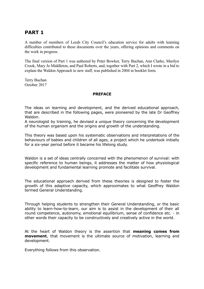## **PART 1**

A number of members of Leeds City Council's education service for adults with learning difficulties contributed to these documents over the years, offering opinions and comments on the work in progress.

The final version of Part 1 was authored by Peter Bowker, Terry Buchan, Ann Clarke, Marilyn Crook, Mary Jo Middleton, and Paul Roberts, and, together with Part 2, which I wrote in a bid to explain the Waldon Approach to new staff, was published in 2004 in booklet form.

Terry Buchan October 2017

#### **PREFACE**

The ideas on learning and development, and the derived educational approach, that are described in the following pages, were pioneered by the late Dr Geoffrey Waldon.

A neurologist by training, he devised a unique theory concerning the development of the human organism and the origins and growth of the understanding.

This theory was based upon his systematic observations and interpretations of the behaviours of babies and children of all ages, a project which he undertook initially for a six-year period before it became his lifelong study.

Waldon is a set of ideas centrally concerned with the phenomenon of survival: with specific reference to human beings, it addresses the matter of how physiological development and fundamental learning promote and facilitate survival.

The educational approach derived from these theories is designed to foster the growth of this adaptive capacity, which approximates to what Geoffrey Waldon termed General Understanding.

Through helping students to strengthen their General Understanding, or the basic ability to learn-how-to-learn, our aim is to assist in the development of their all round competence, autonomy, emotional equilibrium, sense of confidence etc. - in other words their capacity to be constructively and creatively active in the world.

At the heart of Waldon theory is the assertion that **meaning comes from movement**, that movement is the ultimate source of motivation, learning and development.

Everything follows from this observation.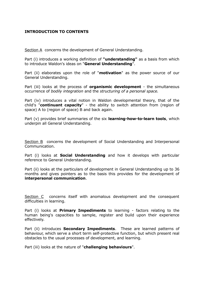#### **INTRODUCTION TO CONTENTS**

Section A concerns the development of General Understanding.

Part (i) introduces a working definition of **"understanding"** as a basis from which to introduce Waldon's ideas on "**General Understanding**".

Part (ii) elaborates upon the role of "**motivation**" as the power source of our General Understanding.

Part (iii) looks at the process of **organismic development** - the simultaneous occurrence of *bodily integration* and the *structuring of a personal space.*

Part (iv) introduces a vital notion in Waldon developmental theory, that of the child's "**continuant capacity**" - the ability to switch attention from (region of space) A to (region of space) B and back again.

Part (v) provides brief summaries of the six **learning-how-to-learn tools**, which underpin all General Understanding.

Section B concerns the development of Social Understanding and Interpersonal Communication.

Part (i) looks at **Social Understanding** and how it develops with particular reference to General Understanding.

Part (ii) looks at the particulars of development in General Understanding up to 36 months and gives pointers as to the basis this provides for the development of **interpersonal communication**.

Section C concerns itself with anomalous development and the consequent difficulties in learning.

Part (i) looks at **Primary Impediments** to learning - factors relating to the human being's capacities to sample, register and build upon their experience effectively.

Part (ii) introduces **Secondary Impediments**. These are learned patterns of behaviour, which serve a short term self-protective function, but which present real obstacles to the usual processes of development, and learning.

Part (iii) looks at the nature of "**challenging behaviours**".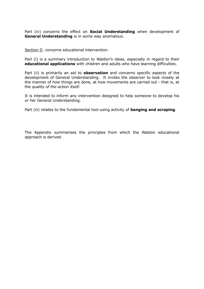Part (iv) concerns the effect on **Social Understanding** when development of **General Understanding** is in some way anomalous.

Section D concerns educational intervention.

Part (i) is a summary introduction to Waldon's ideas, especially in regard to their **educational applications** with children and adults who have learning difficulties.

Part (ii) is primarily an aid to **observation** and concerns specific aspects of the development of General Understanding. It invites the observer to look closely at the manner of how things are done, at how movements are carried out - that is, at the *quality of the action itself.*

It is intended to inform any intervention designed to help someone to develop his or her General Understanding.

Part (iii) relates to the fundamental tool-using activity of **banging and scraping**.

The Appendix summarises the principles from which the Waldon educational approach is derived.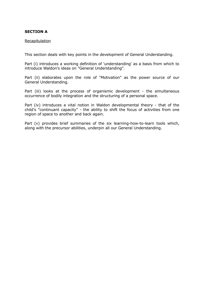#### **SECTION A**

#### Recapitulation

This section deals with key points in the development of General Understanding.

Part (i) introduces a working definition of 'understanding' as a basis from which to introduce Waldon's ideas on "General Understanding".

Part (ii) elaborates upon the role of "Motivation" as the power source of our General Understanding.

Part (iii) looks at the process of organismic development - the simultaneous occurrence of bodily integration and the structuring of a personal space.

Part (iv) introduces a vital notion in Waldon developmental theory - that of the child's "continuant capacity" - the ability to shift the focus of activities from one region of space to another and back again.

Part (v) provides brief summaries of the six learning-how-to-learn tools which, along with the precursor abilities, underpin all our General Understanding.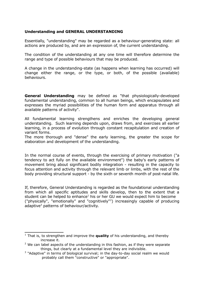#### **Understanding and GENERAL UNDERSTANDING**

Essentially, "understanding" may be regarded as a behaviour-generating state: all actions are produced by, and are an expression of, the current understanding.

The condition of the understanding at any one time will therefore determine the range and type of possible behaviours that may be produced.

A change in the understanding-state (as happens when learning has occurred) will change either the range, or the type, or both, of the possible (available) behaviours.

**General Understanding** may be defined as "that physiologically-developed fundamental understanding, common to all human beings, which encapsulates and expresses the myriad possibilities of the human form and apparatus through all available patterns of activity".

All fundamental learning strengthens and enriches the developing general understanding. Such learning depends upon, draws from, and exercises all earlier learning, in a process of evolution through constant recapitulation and creation of variant forms.

The more thorough and "dense" the early learning, the greater the scope for elaboration and development of the understanding.

In the normal course of events, through the exercising of primary motivation ("a tendency to act fully on the available environment") the baby's early patterns of movement bring about significant bodily integration - resulting in the capacity to focus attention and activity through the relevant limb or limbs, with the rest of the body providing structural support - by the sixth or seventh month of post-natal life.

If, therefore, General Understanding is regarded as the foundational understanding from which all specific aptitudes and skills develop, then to the extent that a student can be helped to enhance<sup>[1](#page-6-0)</sup> his or her GU we would expect him to become ("physically", "emotionally" and "cognitively"[2](#page-6-1) ) increasingly capable of producing adaptive<sup>[3](#page-6-2)</sup> patterns of behaviour/activity.

<span id="page-6-0"></span><sup>&</sup>lt;sup>1</sup> That is, to strengthen and improve the **quality** of his understanding, and thereby increase it.

<span id="page-6-1"></span> $2$  We can label aspects of the understanding in this fashion, as if they were separate things, but clearly at a fundamental level they are indivisible.

<span id="page-6-2"></span> $3$  "Adaptive" in terms of biological survival; in the day-to-day social realm we would probably call them "constructive" or "appropriate".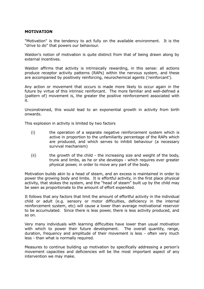#### **MOTIVATION**

"Motivation" is the tendency to act fully on the available environment. It is the "drive to do" that powers our behaviour.

Waldon's notion of motivation is quite distinct from that of being drawn along by external incentives.

Waldon affirms that activity is intrinsically rewarding, in this sense: all actions produce receptor activity patterns (RAPs) within the nervous system, and these are accompanied by positively reinforcing, neurochemical agents ('reinforcant').

Any action or movement that occurs is made more likely to occur again in the future by virtue of this intrinsic reinforcant. The more familiar and well-defined a (pattern of) movement is, the greater the positive reinforcement associated with it.

Unconstrained, this would lead to an exponential growth in activity from birth onwards.

This explosion in activity is limited by two factors

- (i) the operation of a separate negative reinforcement system which is active in proportion to the unfamiliarity percentage of the RAPs which are produced, and which serves to inhibit behaviour (a necessary survival mechanism)
- (ii) the growth of the child the increasing size and weight of the body, trunk and limbs, as he or she develops - which requires ever greater physical power, in order to move any part of the body.

Motivation builds akin to a head of steam, and an excess is maintained in order to power the growing body and limbs. It is effortful activity, in the first place physical activity, that stokes the system, and the "head of steam" built up by the child may be seen as proportionate to the amount of effort expended.

It follows that any factors that limit the amount of effortful activity in the individual child or adult (e.g. sensory or motor difficulties, deficiency in the internal reinforcement system, etc) will cause a lower than average motivational reservoir to be accumulated. Since there is less power, there is less activity produced, and so on.

Very many individuals with learning difficulties have lower than usual motivation with which to power their future development. The overall quantity, range, duration, frequency and amplitude of their movement is less - often very much less - than what is normally required.

Measures to continue building up motivation by specifically addressing a person's movement capacities and deficiencies will be the most important aspect of any intervention we may make.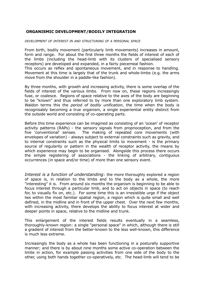#### **ORGANISMIC DEVELOPMENT/BODILY INTEGRATION**

*DEVELOPMENT OF INTEREST IN AND STRUCTURING OF A PERSONAL SPACE*

From birth, bodily movement (particularly limb movements) increases in amount, form and range. For about the first three months the fields of interest of each of the limbs (including the head-limb with its clusters of specialised sensory receptors) are developed and expanded, in a fairly piecemeal fashion.

This occurs as reflex and spontaneous movement, and in response to handling. Movement at this time is largely that of the trunk and whole-limbs (e.g. the arms move from the shoulder in a paddle-like fashion).

By three months, with growth and increasing activity, there is some overlap of the fields of interest of the various limbs. From now on, these regions increasingly fuse, or coalesce. Regions of space relative to the axes of the body are beginning to be "known" and thus referred to by more than one exploratory limb system. Waldon terms this the *period of bodily unification*, the time when the body is recognisably becoming a true organism, a single experiential entity distinct from the outside world and consisting of co-operating parts.

Before this time experience can be imagined as consisting of an 'ocean' of receptor activity patterns (RAPs) - the sensory signals from proprioception, and from the five 'conventional' senses. The making of repeated core movements (with envelopes of variation) - always subject to external constraints such as gravity, and to internal constraints such as the physical limits to movement - is the primary source of regularity or pattern in the wealth of receptor activity, the means by which experience may begin to be organised. Alongside this process there occurs the simple registering of associations - the linking of arbitrary, contiguous occurrences (in space and/or time) of more than one sensory event.

*Interest is a function of understanding*: the more thoroughly explored a region of space is, in relation to the limbs and to the body as a whole, the more "interesting" it is. From around six months the organism is beginning to be able to focus interest through a particular limb, and to act on objects in space (to reach for, to visually fix on, etc.). For some time this is an irresistible urge if the object lies within the most familiar spatial region, a region which is quite small and well defined, in the midline and in front of the upper chest. Over the next few months, with increasing activity, there develops the ability to focus interest at wider and deeper points in space, relative to the midline and trunk.

This enlargement of the interest fields results eventually in a seamless, thoroughly-known region: a single "personal space" in which, although there is still a gradient of interest from the better-known to the less well-known, this difference is much less extreme.

Increasingly the body as a whole has been functioning in a posturally supportive manner; and there is by about nine months some active co-operation between the limbs in action, for example passing activities from one side of the body to the other, using both hands together co-operatively, etc. The head-limb will tend to be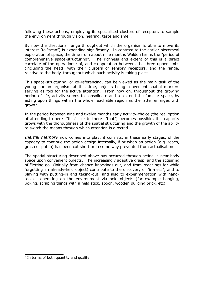following these actions, employing its specialised clusters of receptors to sample the environment through vision, hearing, taste and smell.

By now the directional range throughout which the organism is able to move its interest (to "scan") is expanding significantly. In contrast to the earlier piecemeal exploration of space, the time from about nine months Waldon terms the "period of comprehensive space-structuring". The richness and extent of this is a direct correlate of the operations<sup>[1](#page-9-0)</sup> of, and co-operation between, the three upper limbs (including the head) with their clusters of sensory receptors, and the range, relative to the body, throughout which such activity is taking place.

This space-structuring, or co-referencing, can be viewed as the main task of the young human organism at this time, objects being convenient spatial markers serving as foci for the active attention. From now on, throughout the growing period of life, activity serves to consolidate and to extend the familiar space, by acting upon things within the whole reachable region as the latter enlarges with growth.

In the period between nine and twelve months early activity-choice (the real option of attending to here -"this" - or to there -"that") becomes possible; this capacity grows with the thoroughness of the spatial structuring and the growth of the ability to switch the means through which attention is directed.

*Inertial memory* now comes into play; it consists, in these early stages, of the capacity to continue the action-design internally, if or when an action (e.g. reach, grasp or put in) has been cut short or in some way prevented from actualisation.

The spatial structuring described above has occurred through acting in near-body space upon convenient objects. The increasingly adaptive grasp, and the acquiring of "letting-go" (initially from chance knockings-out, and from reachings-for while forgetting an already-held object) contribute to the discovery of "in-ness", and to playing with putting-in and taking-out; and also to experimentation with handtools - operating on the environment via held objects (for example banging, poking, scraping things with a held stick, spoon, wooden building brick, etc).

<span id="page-9-0"></span> $1$  In terms of both quantity and quality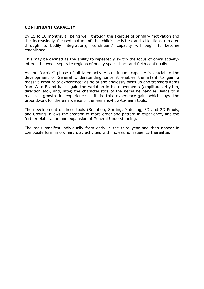#### **CONTINUANT CAPACITY**

By 15 to 18 months, all being well, through the exercise of primary motivation and the increasingly focused nature of the child's activities and attentions (created through its bodily integration), "continuant" capacity will begin to become established.

This may be defined as the ability to repeatedly switch the focus of one's activityinterest between separate regions of bodily space, back and forth continually.

As the "carrier" phase of all later activity, continuant capacity is crucial to the development of General Understanding since it enables the infant to gain a massive amount of experience: as he or she endlessly picks up and transfers items from A to B and back again the variation in his movements (amplitude, rhythm, direction etc), and, later, the characteristics of the items he handles, leads to a massive growth in experience. It is this experience-gain which lays the groundwork for the emergence of the learning-how-to-learn tools.

The development of these tools (Seriation, Sorting, Matching, 3D and 2D Praxis, and Coding) allows the creation of more order and pattern in experience, and the further elaboration and expansion of General Understanding.

The tools manifest individually from early in the third year and then appear in composite form in ordinary play activities with increasing frequency thereafter.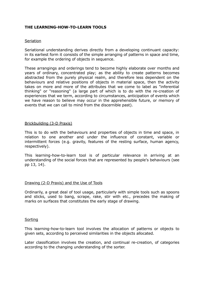#### **THE LEARNING-HOW-TO-LEARN TOOLS**

#### **Seriation**

Seriational understanding derives directly from a developing continuant capacity: in its earliest form it consists of the simple arranging of patterns in space and time, for example the ordering of objects in sequence.

These arrangings and orderings tend to become highly elaborate over months and years of ordinary, concentrated play; as the ability to create patterns becomes abstracted from the purely physical realm, and therefore less dependent on the behaviours and relative positions of objects in material space, then the activity takes on more and more of the attributes that we come to label as "inferential thinking" or "reasoning" (a large part of which is to do with the re-creation of experiences that we term, according to circumstances, anticipation of events which we have reason to believe may occur in the apprehensible future, or memory of events that we can call to mind from the discernible past).

#### Brickbuilding (3-D Praxis)

This is to do with the behaviours and properties of objects in time and space, in relation to one another and under the influence of constant, variable or intermittent forces (e.g. gravity, features of the resting surface, human agency, respectively).

This learning-how-to-learn tool is of particular relevance in arriving at an understanding of the social forces that are represented by people's behaviours (see pp 13, 14).

#### Drawing (2-D Praxis) and the Use of Tools

Ordinarily, a great deal of tool usage, particularly with simple tools such as spoons and sticks, used to bang, scrape, rake, stir with etc., precedes the making of marks on surfaces that constitutes the early stage of drawing.

#### Sorting

This learning-how-to-learn tool involves the allocation of patterns or objects to given sets, according to perceived similarities in the objects allocated.

Later classification involves the creation, and continual re-creation, of categories according to the changing understanding of the sorter.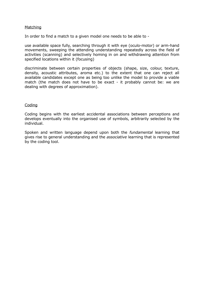#### **Matching**

In order to find a match to a given model one needs to be able to -

use available space fully, searching through it with eye (oculo-motor) or arm-hand movements, sweeping the attending understanding repeatedly across the field of activities (scanning) and selectively homing in on and withdrawing attention from specified locations within it (focusing)

discriminate between certain properties of objects (shape, size, colour, texture, density, acoustic attributes, aroma etc.) to the extent that one can reject all available candidates except one as being too unlike the model to provide a viable match (the match does not have to be exact - it probably cannot be: we are dealing with degrees of approximation).

#### Coding

Coding begins with the earliest accidental associations between perceptions and develops eventually into the organised use of symbols, arbitrarily selected by the individual.

Spoken and written language depend upon both the *fundamental* learning that gives rise to general understanding and the *associative* learning that is represented by the coding tool.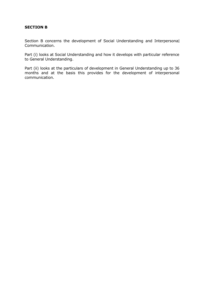#### **SECTION B**

Section B concerns the development of Social Understanding and Interpersonal Communication.

Part (i) looks at Social Understanding and how it develops with particular reference to General Understanding.

Part (ii) looks at the particulars of development in General Understanding up to 36 months and at the basis this provides for the development of interpersonal communication.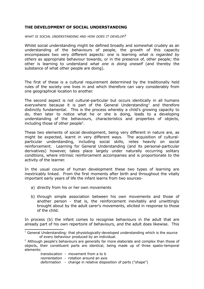#### **THE DEVELOPMENT OF SOCIAL UNDERSTANDING**

*WHAT IS SOCIAL UNDERSTANDING AND HOW DOES IT DEVELOP?*

Whilst social understanding might be defined broadly and somewhat crudely as an understanding of the behaviours of people, the growth of this capacity encompasses two very different aspects: one is learning *what is regarded by others* as appropriate behaviour towards, or in the presence of, other people; the other is learning to understand *what one is doing oneself* (and thereby the substance of what other people are doing).

The first of these is a cultural requirement determined by the traditionally held rules of the society one lives in and which therefore can vary considerably from one geographical location to another.

The second aspect is not cultural-particular but occurs identically in all humans everywhere because it is part of the General Understanding<sup>[1](#page-14-0)</sup> and therefore distinctly fundamental. This is the process whereby a child's growing capacity to do, then later to notice what he or she is doing, leads to a developing understanding of the behaviours, characteristics and properties of objects, including those of other people<sup>[2](#page-14-1)</sup>.

These two elements of social development, being very different in nature are, as might be expected, learnt in very different ways. The acquisition of culturalparticular understanding, including social skills, relies heavily on social reinforcement. Learning for General Understanding (and its personal-particular derivatives) however, takes place largely under naturally occurring solitary conditions, where intrinsic reinforcement accompanies and is proportionate to the activity of the learner.

In the usual course of human development these two types of learning are inextricably linked. From the first moments after birth and throughout the vitally important early years of life the infant learns from two sources-

- a) directly from his or her own movements
- b) through simple association between his own movements and those of another person - that is, the reinforcement inevitably and unwittingly brought about by the adult carer's movements, elicited in response to those of the child.

In process (b) the infant comes to recognise behaviours in the adult that are already part of his own repertoire of behaviours, and the adult does likewise. This

 *translocation* - movement from a to b *reorientation* - rotation around an axis *deformation* - change in relative disposition of parts ("shape")

<span id="page-14-0"></span><sup>&</sup>lt;sup>1</sup> General Understanding: that physiologically-developed understanding which is the source of every behaviour produced by an individual.

<span id="page-14-1"></span> $2$  Although people's behaviours are generally far more elaborate and complex than those of objects, their constituent parts are identical, being made up of three spatio-temporal elements: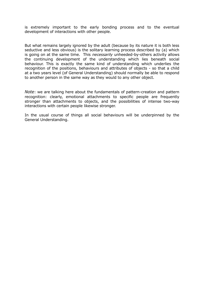is extremely important to the early bonding process and to the eventual development of interactions with other people.

But what remains largely ignored by the adult (because by its nature it is both less seductive and less obvious) is the solitary learning process described by (a) which is going on at the same time. This *necessarily* unheeded-by-others activity allows the continuing development of the understanding which lies beneath social behaviour. This is exactly the same kind of understanding which underlies the recognition of the positions, behaviours and attributes of objects - so that a child at a two years level (of General Understanding) should normally be able to respond to another person in the same way as they would to any other object.

*Note*: we are talking here about the fundamentals of pattern-creation and pattern recognition: clearly, emotional attachments to specific people are frequently stronger than attachments to objects, and the possibilities of intense two-way interactions with certain people likewise stronger.

In the usual course of things all social behaviours will be underpinned by the General Understanding.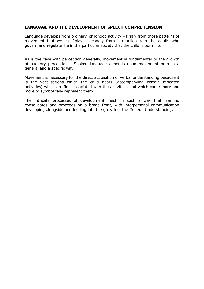#### **LANGUAGE AND THE DEVELOPMENT OF SPEECH COMPREHENSION**

Language develops from ordinary, childhood activity – firstly from those patterns of movement that we call "play", secondly from interaction with the adults who govern and regulate life in the particular society that the child is born into.

As is the case with perception generally, movement is fundamental to the growth of auditory perception. Spoken language depends upon movement both in a general and a specific way.

Movement is necessary for the direct acquisition of verbal understanding because it is the vocalisations which the child hears (accompanying certain repeated activities) which are first associated with the activities, and which come more and more to symbolically represent them.

The intricate processes of development mesh in such a way that learning consolidates and proceeds on a broad front, with interpersonal communication developing alongside and feeding into the growth of the General Understanding.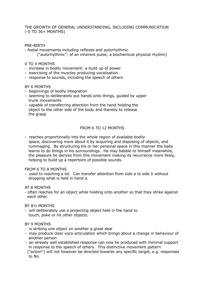#### THE GROWTH OF GENERAL UNDERSTANDING, INCLUDING COMMUNICATION (-0 TO 36+ MONTHS)

#### PRE-BIRTH

- foetal movements including reflexes and autorhythmic ("autorhythmic": of an inherent pulse; a biochemical physical rhythm)

#### 0 TO 4 MONTHS

- increase in bodily movement: a build up of power
- exercising of the muscles producing vocalisation
- response to sounds, including the speech of others

#### BY 6 MONTHS

- beginnings of bodily integration
- seeming to deliberately put hands onto things, guided by upper trunk movements
- capable of transferring attention from the hand holding the object to the other side of the body and thereby to release the grasp

#### FROM 6 TO 12 MONTHS

- reaches proportionally into the whole region of available bodily space, discovering more about it by acquiring and disposing of objects, and rummaging. By structuring his or her personal space in this manner the baby learns to do things in his surroundings. He may babble to himself meanwhile, the pleasure he derives from this movement making its recurrence more likely, helping to build up a repertoire of possible sounds.

#### FROM 6 TO 8 MONTHS

- used to reaching a lot. Can transfer attention from side *a* to side *b* without dropping what is held in hand *a*.

#### AT 8 MONTHS

- often reaches for an object while holding onto another so that they strike against each other.

#### BY 8½ MONTHS

- will deliberately use a projecting object held in the hand to touch, poke or hit other objects.

#### BY 9 MONTHS

- is striking one object on another a great deal
- may produce clear voco-articulation which brings about a change in behaviour of another person
- an already well established response can now be produced with minimal support in response to the speech of others. This distinctive movement pattern ("action") will not however be directed towards any specific target, e.g. responses to *No*.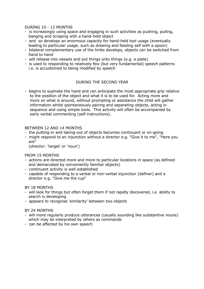#### DURING 10 - 12 MONTHS

- is increasingly using space and engaging in such activities as pushing, pulling, banging and scraping with a hand-held object
- and so develops an enormous capacity for hand-held tool usage (eventually leading to particular usage, such as drawing and feeding self with a spoon)
- bilateral complementary use of the limbs develops, objects can be switched from hand to hand
- will release into vessels and put things onto things (e.g. a plate)
- is used to responding to relatively few (but very fundamental) speech patterns i.e. is accustomed to being modified by speech

#### DURING THE SECOND YEAR

- begins to supinate the hand and can anticipate the most appropriate grip relative to the position of the object and what it is to be used for. Acting more and more on what is around, without prompting or assistance the child will gather information whilst spontaneously pairing and separating objects, acting in sequence and using simple tools. This activity will often be accompanied by early verbal commenting (self-instructions).

#### BETWEEN 12 AND 14 MONTHS

- the putting-in and taking-out of objects becomes continuant or on-going
- might respond to an injunction without a director e.g. "Give it to me", "Here you are"

(*director*: 'target' or 'noun')

#### FROM 15 MONTHS

- actions are directed more and more to particular locations in space (as defined and demarcated by conveniently familiar objects)
- continuant activity is well established
- capable of responding to a verbal or non-verbal injunction (definer) and a director e.g. "Give me the cup"

#### BY 18 MONTHS

- will look for things but often forget them if not rapidly discovered, i.e. ability to search is developing
- appears to recognise 'similarity' between two objects

#### BY 24 MONTHS

- will more regularly produce utterances (usually sounding like substantive nouns) which may be interpreted by others as commands
- can be affected by his own speech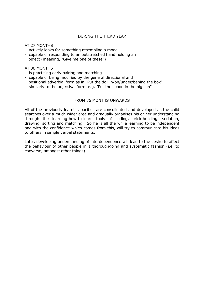#### DURING THE THIRD YEAR

AT 27 MONTHS

- actively looks for something resembling a model
- capable of responding to an outstretched hand holding an object (meaning, "Give me one of these")

#### AT 30 MONTHS

- is practising early pairing and matching
- capable of being modified by the general directional and positional adverbial form as in "Put the doll in/on/under/behind the box"
- similarly to the adjectival form, e.g. "Put the spoon in the big cup"

#### FROM 36 MONTHS ONWARDS

All of the previously learnt capacities are consolidated and developed as the child searches over a much wider area and gradually organises his or her understanding through the learning-how-to-learn tools of coding, brick-building, seriation, drawing, sorting and matching. So he is all the while learning to be independent and with the confidence which comes from this, will try to communicate his ideas to others in simple verbal statements.

Later, developing understanding of interdependence will lead to the desire to affect the behaviour of other people in a thoroughgoing and systematic fashion (i.e. to converse, amongst other things).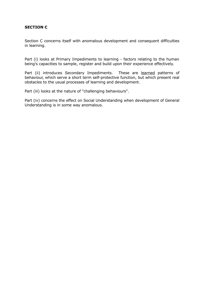#### **SECTION C**

Section C concerns itself with anomalous development and consequent difficulties in learning.

Part (i) looks at Primary Impediments to learning - factors relating to the human being's capacities to sample, register and build upon their experience effectively.

Part (ii) introduces Secondary Impediments. These are learned patterns of behaviour, which serve a short term self-protective function, but which present real obstacles to the usual processes of learning and development.

Part (iii) looks at the nature of "challenging behaviours".

Part (iv) concerns the effect on Social Understanding when development of General Understanding is in some way anomalous.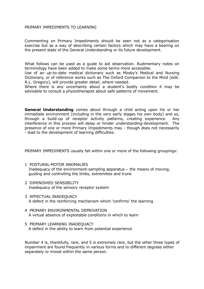#### PRIMARY IMPEDIMENTS TO LEARNING

Commenting on Primary Impediments should be seen not as a categorisation exercise but as a way of describing certain factors which may have a bearing on the present state of the General Understanding or its future development.

What follows can be used as a guide to aid observation. Rudimentary notes on terminology have been added to make some terms more accessible.

Use of an up-to-date medical dictionary such as Mosby's Medical and Nursing Dictionary, or of reference works such as The Oxford Companion to the Mind (edit. R.L. Gregory), will provide greater detail, where needed.

Where there is any uncertainty about a student's bodily condition it may be advisable to consult a physiotherapist about safe patterns of movement.

**General Understanding** comes about through a child acting upon his or her immediate environment (including in the very early stages his own body) and so, through a build-up of receptor activity patterns, creating experience. Any interference in this process will delay or hinder understanding-development. The presence of one or more Primary Impediments may - though does not necessarily - lead to the development of learning difficulties.

PRIMARY IMPEDIMENTS usually fall within one or more of the following groupings:

- 1 POSTURAL-MOTOR ANOMALIES Inadequacy of the environment-sampling apparatus – the means of moving, guiding and controlling the limbs, extremities and trunk
- 2 DIMINISHED SENSIBILITY Inadequacy of the sensory receptor system
- 3 AFFECTUAL INADEQUACY A defect in the reinforcing mechanism which 'confirms' the learning
- 4 PRIMARY ENVIRONMENTAL DEPRIVATION A virtual absence of exploitable conditions in which to learn
- 5 PRIMARY LEARNING INADEQUACY A defect in the ability to learn from potential experience

Number 4 is, thankfully, rare, and 5 is extremely rare, but the other three types of impairment are found frequently in various forms and to different degrees either separately or mixed within the same person.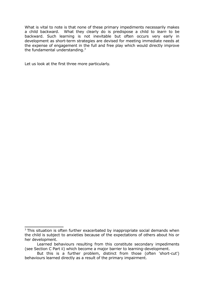What is vital to note is that none of these primary impediments necessarily makes a child backward. What they clearly do is predispose a child to *learn* to be backward. Such learning is not inevitable but often occurs very early in development as short-term strategies are devised for meeting immediate needs at the expense of engagement in the full and free play which would directly improve the fundamental understanding. $3$ 

Let us look at the first three more particularly.

<span id="page-22-0"></span> $3$  This situation is often further exacerbated by inappropriate social demands when the child is subject to anxieties because of the expectations of others about his or her development.

Learned behaviours resulting from this constitute secondary impediments (see Section C Part ii) which become a major barrier to learning-development.

But this is a further problem, distinct from those (often 'short-cut') behaviours learned directly as a result of the primary impairment.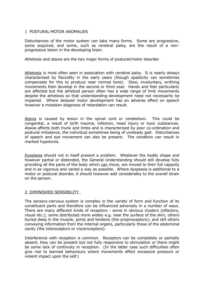#### 1 POSTURAL-MOTOR ANOMALIES

Disturbances of the motor system can take many forms. Some are progressive, some acquired, and some, such as cerebral palsy, are the result of a nonprogressive lesion in the developing brain.

Athetosis and ataxia are the two major forms of postural/motor disorder.

Athetosis is most often seen in association with cerebral palsy. It is nearly always characterised by flaccidity in the early years (though spasticity can sometimes compensate for this to produce near normal tone). Slow, involuntary, writhing movements then develop in the second or third year. Hands and feet particularly are affected but the athetoid person often has a wide range of limb movements despite the athetosis so that understanding-development need not necessarily be impaired. Where delayed motor development has an adverse effect on speech however a mistaken diagnosis of retardation can result.

Ataxia is caused by lesion in the spinal cord or cerebellum. This could be congenital, a result of birth trauma, infection, head injury or toxic substances. Ataxia affects both trunk and limbs and is characterised by poor co-ordination and postural imbalance, the individual sometimes being of unsteady gait. Disturbances of speech and eye movement can also be present. The condition can result in marked hypotonia.

Dysplasia should not in itself present a problem. Whatever the bodily shape and however partial or distended, the General Understanding should still develop fully providing all the parts of the body which can move, are moved to their full capacity and in as vigorous and varied a way as possible. Where dysplasia is additional to a motor or postural disorder, it should however add considerably to the overall strain on the person.

#### 2 DIMINISHED SENSIBILITY

The sensory-nervous system is complex in the variety of form and function of its constituent parts and therefore can be influenced adversely in a number of ways. There are many different kinds of receptors - some in obvious clusters (olfactory, visual etc.); some distributed more widely e.g. near the surface of the skin; others buried deep in the muscle, joints and tendons (the proprioceptors); and still others conveying information from the internal organs, particularly those of the abdominal cavity (the interoceptors or visceroceptors).

Interference with reception is common. Receptors can be completely or partially absent, they can be present but not fully responsive to stimulation or there might be some lack of continuity in reception. (In the latter case such difficulties often give rise to learned behaviours where movements effect excessive pressure or violent impact upon the self.)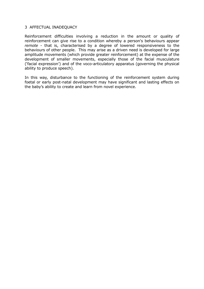#### 3 AFFECTUAL INADEQUACY

Reinforcement difficulties involving a reduction in the amount or quality of reinforcement can give rise to a condition whereby a person's behaviours appear *remote* - that is, characterised by a degree of lowered responsiveness to the behaviours of other people. This may arise as a driven need is developed for large amplitude movements (which provide greater reinforcement) at the expense of the development of smaller movements, especially those of the facial musculature ('facial expression') and of the voco-articulatory apparatus (governing the physical ability to produce speech).

In this way, disturbance to the functioning of the reinforcement system during foetal or early post-natal development may have significant and lasting effects on the baby's ability to create and learn from novel experience.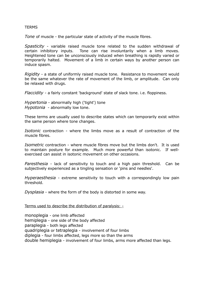#### **TERMS**

*Tone* of muscle - the particular state of activity of the muscle fibres.

*Spasticity* - variable raised muscle tone related to the sudden withdrawal of certain inhibitory inputs. Tone can rise involuntarily when a limb moves. Heightened tone can be unconsciously induced when breathing is rapidly varied or temporarily halted. Movement of a limb in certain ways by another person can induce spasm.

*Rigidity* - a state of uniformly raised muscle tone. Resistance to movement would be the same whatever the rate of movement of the limb, or amplitude. Can only be relaxed with drugs.

*Flaccidity* - a fairly constant 'background' state of slack tone. i.e. floppiness.

*Hypertonia* - abnormally high ('tight') tone *Hypotonia* - abnormally low tone.

These terms are usually used to describe states which can temporarily exist within the same person where tone changes.

*Isotonic* contraction - where the limbs move as a result of contraction of the muscle fibres.

*Isometric* contraction - where muscle fibres move but the limbs don't. It is used to maintain posture for example. Much more powerful than isotonic. If wellexercised can assist in isotonic movement on other occasions.

*Paresthesia* - lack of sensitivity to touch and a high pain threshold. Can be subjectively experienced as a tingling sensation or 'pins and needles'.

*Hyperaesthesia* - extreme sensitivity to touch with a correspondingly low pain threshold.

*Dysplasia* - where the form of the body is distorted in some way.

Terms used to describe the distribution of paralysis: -

monoplegia - one limb affected

hemiplegia - one side of the body affected

paraplegia - both legs affected

quadriplegia or tetraplegia - involvement of four limbs

diplegia - four limbs affected, legs more so than the arms

double hemiplegia - involvement of four limbs, arms more affected than legs.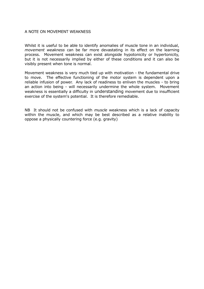#### A NOTE ON MOVEMENT WEAKNESS

Whilst it is useful to be able to identify anomalies of muscle tone in an individual, *movement weakness* can be far more devastating in its effect on the learning process. Movement weakness can exist alongside hypotonicity or hypertonicity, but it is not necessarily implied by either of these conditions and it can also be visibly present when tone is normal.

Movement weakness is very much tied up with motivation - the fundamental drive to move. The effective functioning of the motor system is dependent upon a reliable infusion of power. Any lack of readiness to enliven the muscles - to bring an action into being - will necessarily undermine the whole system. Movement weakness is essentially a difficulty in understanding movement due to insufficient exercise of the system's potential. It is therefore remediable.

NB It should not be confused with *muscle* weakness which is a lack of capacity within the muscle, and which may be best described as a relative inability to oppose a physically countering force (e.g. gravity)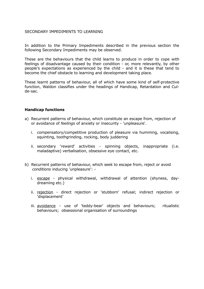#### SECONDARY IMPEDIMENTS TO LEARNING

In addition to the Primary Impediments described in the previous section the following Secondary Impediments may be observed.

These are the behaviours that the child learns to produce in order to cope with feelings of disadvantage caused by their condition - or, more relevantly, by other people's expectations as experienced by the child - and it is these that tend to become the chief obstacle to learning and development taking place.

These learnt patterns of behaviour, all of which have some kind of self-protective function, Waldon classifies under the headings of Handicap, Retardation and Culde-sac.

#### **Handicap functions**

- a) Recurrent patterns of behaviour, which constitute an escape from, rejection of or avoidance of *feelings* of anxiety or insecurity - 'unpleasure'.
	- i. compensatory/competitive production of pleasure via humming, vocalising, squinting, toothgrinding, rocking, body juddering
	- ii. secondary 'reward' activities spinning objects, inappropriate (i.e. maladaptive) verbalisation, obsessive eye contact, etc.
- b) Recurrent patterns of behaviour, which seek to escape from, reject or avoid *conditions* inducing 'unpleasure':
	- i. escape physical withdrawal, withdrawal of attention (shyness, daydreaming etc.)
	- ii. rejection direct rejection or 'stubborn' refusal; indirect rejection or 'displacement'
	- iii. avoidance use of 'teddy-bear' objects and behaviours; ritualistic behaviours; obsessional organisation of surroundings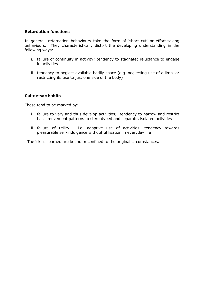#### **Retardation functions**

In general, retardation behaviours take the form of 'short cut' or effort-saving behaviours. They characteristically distort the developing understanding in the following ways:

- i. failure of continuity in activity; tendency to stagnate; reluctance to engage in activities
- ii. tendency to neglect available bodily space (e.g. neglecting use of a limb, or restricting its use to just one side of the body)

#### **Cul-de-sac habits**

These tend to be marked by:

- i. failure to vary and thus develop activities; tendency to narrow and restrict basic movement patterns to stereotyped and separate, isolated activities
- ii. failure of utility i.e. adaptive use of activities; tendency towards pleasurable self-indulgence without utilisation in everyday life

The 'skills' learned are bound or confined to the original circumstances.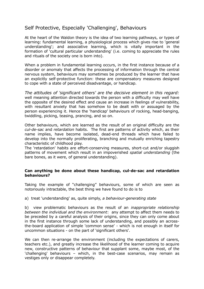### Self Protective, Especially 'Challenging', Behaviours

At the heart of the Waldon theory is the idea of two learning pathways, or types of learning: fundamental learning, a physiological process which gives rise to 'general understanding'; and associative learning, which is vitally important in the formation of 'cultural particular understanding' (i.e. coming to appreciate the rules and rituals of the society one is born into).

When a problem in fundamental learning occurs, in the first instance because of a disorder or anomaly that affects the processing of information through the central nervous system, behaviours may sometimes be produced by the learner that have an explicitly self-protective function: these are compensatory measures designed to cope with a state of perceived disadvantage, or handicap.

*The attitudes of 'significant others' are the decisive element in this regard:* well meaning attention directed towards the person with a difficulty may well have the opposite of the desired effect and cause an increase in feelings of vulnerability, with resultant anxiety that has somehow to be dealt with or assuaged by the person experiencing it. Hence the 'handicap' behaviours of rocking, head-banging, twiddling, picking, teasing, prancing, and so on.

Other behaviours, which are learned as the result of an original difficulty are the *cul-de-sac* and *retardation* habits. The first are patterns of activity which, as their name implies, have become isolated, dead-end threads which have failed to develop into the normally proliferating, branching and mutually enriching tapestry characteristic of childhood play.

The 'retardation' habits are effort-conserving measures, short-cut and/or sluggish patterns of movement which result in an impoverished *spatial understanding* (the bare bones, as it were, of general understanding).

#### **Can anything be done about these handicap, cul-de-sac and retardation behaviours?**

Taking the example of "challenging" behaviours, some of which are seen as notoriously intractable, the best thing we have found to do is to

a) treat 'understanding' as, quite simply, *a behaviour-generating state*

b) view problematic behaviours as the result of an *inappropriate relationship between the individual and the environment*: any attempt to affect them needs to be preceded by a careful analysis of their origins, since they can only come about in the first instance through some lack of understanding, and possibly an acrossthe-board application of simple 'common sense' - which is not enough in itself for uncommon situations - on the part of 'significant others'.

We can then re-arrange the environment (including the expectations of carers, teachers etc.), and greatly increase the likelihood of the learner coming to acquire new, constructive patterns of behaviour that supplant some, maybe most, of the 'challenging' behaviours – which, in the best-case scenarios, may remain as vestiges only or disappear completely.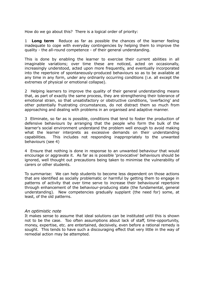How do we go about this? There is a logical order of priority:

1 **Long term** Reduce as far as possible the chances of the learner feeling inadequate to cope with everyday contingencies by helping them to improve the quality - the all-round competence - of their general understanding.

This is done by enabling the learner to exercise their current abilities in all imaginable variations; over time these are noticed, acted on occasionally, increasingly understood, acted upon more frequently, and eventually incorporated into the repertoire of spontaneously-produced behaviours so as to be available at any time in any form, under any ordinarily occurring conditions (i.e. all except the extremes of physical or emotional collapse).

2 Helping learners to improve the quality of their general understanding means that, as part of exactly the same process, they are strengthening their tolerance of emotional strain, so that unsatisfactory or obstructive conditions, 'overfacing' and other potentially frustrating circumstances, do not distract them so much from approaching and dealing with problems in an organised and adaptive manner.

3 Eliminate, so far as is possible, conditions that tend to foster the production of defensive behaviours by arranging that the people who form the bulk of the learner's social environment understand the problem well enough to avoid making what the learner interprets as excessive demands on their understanding capabilities. This includes not responding inappropriately to the unwanted behaviours (see 4)

4 Ensure that nothing is done in response to an unwanted behaviour that would encourage or aggravate it. As far as is possible 'provocative' behaviours should be ignored, well thought out precautions being taken to minimise the vulnerability of carers or other students.

To summarise: We can help students to become less dependent on those actions that are identified as socially problematic or harmful by getting them to engage in patterns of activity that over time serve to increase their behavioural repertoire through enhancement of the behaviour-producing state (the fundamental, general understanding). New competencies gradually supplant (the need for) some, at least, of the old patterns.

#### *An optimistic note*

It makes sense to assume that ideal solutions can be instituted until this is shown not to be the case. Too often assumptions about lack of staff, time-opportunity, money, expertise, etc. are entertained, decisively, even before a rational remedy is sought. This tends to have such a discouraging effect that very little in the way of remedial action may be attempted.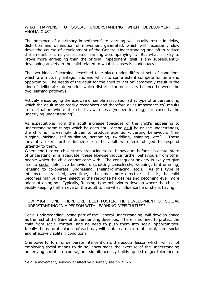#### WHAT HAPPENS TO SOCIAL UNDERSTANDING WHEN DEVELOPMENT IS ANOMALOUS?

The presence of a primary impediment<sup>[4](#page-31-0)</sup> to learning will usually result in delay, distortion and diminution of movement generated, which will necessarily slow down the course of development of the General Understanding and often reduce the amount of simply-associated learning accompanying it. But what is likely to prove more enfeebling than the original impediment itself is any subsequentlydeveloping anxiety in the child related to what it senses is inadequacy.

The two kinds of learning described take place under different sets of conditions which are mutually antagonistic and which to some extent compete for time and opportunity. The needs of the adult for the child to 'get on' commonly result in the kind of deliberate intervention which disturbs the necessary balance between the two learning pathways.

Actively encouraging the exercise of simple association (that type of understanding which the adult most readily recognises and therefore gives importance to) results in a situation where the child's awareness (veneer learning) far exceeds the underlying understanding).

As expectations from the adult increase (because of the child's appearing to understand some things which he does not - acting as if he or she understands), the child is increasingly driven to produce attention-diverting behaviours (hair tugging, picking, self-mutilation, screaming, twiddling, spinning, etc.). These inevitably exert further influence on the adult who feels obliged to respond urgently to them.

Where the tutored child starts producing social behaviours before his actual state of understanding is adequate, these likewise induce further behaviours from other people which the child cannot cope with. The consequent anxiety is likely to give rise to social defensive behaviours (chatting ceaselessly, weeping, tantrumming, refusing to co-operate, undressing, smiling/grimacing. etc.). As this type of influence is practised, over time, it becomes more directive - that is, the child becomes manipulative, selecting the response he desires and becoming ever more adept at doing so. Typically, 'teasing' type behaviours develop where the child is visibly keeping half an eye on the adult to see what influence he or she is having.

#### HOW MIGHT ONE, THEREFORE, BEST FOSTER THE DEVELOPMENT OF SOCIAL UNDERSTANDING IN A PERSON WITH LEARNING DIFFICULTIES?

Social understanding, being part of the General Understanding, will develop apace as the rest of the General Understanding develops. There is no need to protect the child from social contact, and no need to push them into social opportunities. Ideally the natural balance of each day will contain a mixture of social, semi-social and effectively solitary conditions.

One powerful form of deliberate intervention is the asocial lesson which, whilst not employing social means to do so, encourages the exercise of the understanding underlying social intercourse, and simultaneously builds up a stronger tolerance to

<span id="page-31-0"></span><sup>4</sup> e.g. a movement, sensory or affective disorder; see pp 21-26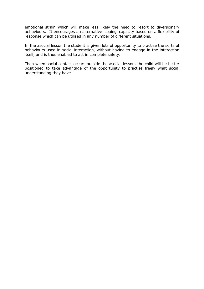emotional strain which will make less likely the need to resort to diversionary behaviours. It encourages an alternative 'coping' capacity based on a flexibility of response which can be utilised in any number of different situations.

In the asocial lesson the student is given lots of opportunity to practise the sorts of behaviours used in social interaction, without having to engage in the interaction itself, and is thus enabled to act in complete safety.

Then when social contact occurs outside the asocial lesson, the child will be better positioned to take advantage of the opportunity to practise freely what social understanding they have.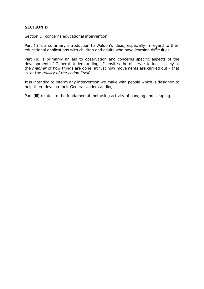#### **SECTION D**

Section D concerns educational intervention.

Part (i) is a summary introduction to Waldon's ideas, especially in regard to their educational applications with children and adults who have learning difficulties.

Part (ii) is primarily an aid to observation and concerns specific aspects of the development of General Understanding. It invites the observer to look closely at the *manner* of how things are done, at just how movements are carried out - that is, at the *quality of the action itself.*

It is intended to inform any intervention we make with people which is designed to help them develop their General Understanding.

Part (iii) relates to the fundamental tool-using activity of banging and scraping.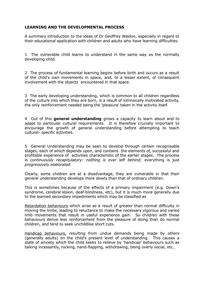#### **LEARNING AND THE DEVELOPMENTAL PROCESS**

A summary introduction to the ideas of Dr Geoffrey Waldon, especially in regard to their educational application with children and adults who have learning difficulties.

1 The vulnerable child learns to understand in the same way as the normally developing child.

2 The process of fundamental learning begins before birth and occurs as a result of the child's own movements in space, and, to a lesser extent, of consequent involvement with the objects encountered in that space.

3 The early developing understanding, which is common to all children regardless of the culture into which they are born, is a result of intrinsically motivated activity, the only reinforcement needed being the 'pleasure' taken in the activity itself.

4 Out of this **general understanding** grows a capacity to learn about and to adapt to particular cultural requirements. It is therefore crucially important to encourage the growth of general understanding before attempting to teach cultural- specific activities.

5 General Understanding may be seen to develop through certain recognisable stages, each of which depends upon, and contains the elements of, successful and profitable experience of activities characteristic of the earlier stages. The process is *continuously recapitulatory*: *nothing is ever left behind;* everything is just *progressively elaborated.*

Clearly, some children are at a disadvantage, they are vulnerable in that their general understanding develops more slowly than that of ordinary children.

This is sometimes because of the effects of a primary impairment (e.g. Down's syndrome, cerebral lesion, deaf-blindness, etc), but it is much more generally due to the learned secondary impediments which may be classified as

Retardation behaviours which arise as a result of greater than normal difficulty in moving the limbs, leading to reluctance to make the necessary vigorous and varied limb movements that result in useful experience gain. So children with these behaviours derive less reinforcement from the pleasure of doing than do normal children, and tend to seek unchildlike short cuts.

Handicap behaviours, resulting from undue demands being made by others (generally adults) on the child's present level of understanding. This causes a state of anxiety which the child seeks to relieve by 'handicap' behaviours such as talking incessantly, rocking, hand-flapping, withdrawing, being overly social, etc.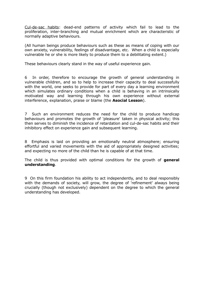Cul-de-sac habits: dead-end patterns of activity which fail to lead to the proliferation, inter-branching and mutual enrichment which are characteristic of normally adaptive behaviours.

(All human beings produce behaviours such as these as means of coping with our own anxiety, vulnerability, feelings of disadvantage, etc. When a child is especially vulnerable he or she is more likely to produce them to a debilitating extent.)

These behaviours clearly stand in the way of useful experience gain.

6 In order, therefore to encourage the growth of general understanding in vulnerable children, and so to help to increase their capacity to deal successfully with the world, one seeks to provide for part of every day a learning environment which simulates ordinary conditions when a child is behaving in an intrinsically motivated way and learning through his own experience without external interference, explanation, praise or blame (the **Asocial Lesson**).

7 Such an environment reduces the need for the child to produce handicap behaviours and promotes the growth of 'pleasure' taken in physical activity; this then serves to diminish the incidence of retardation and cul-de-sac habits and their inhibitory effect on experience gain and subsequent learning.

8 Emphasis is laid on providing an emotionally neutral atmosphere; ensuring effortful and varied movements with the aid of appropriately designed activities; and expecting no more of the child than he is capable of at that time.

The child is thus provided with optimal conditions for the growth of **general understanding**.

9 On this firm foundation his ability to act independently, and to deal responsibly with the demands of society, will grow, the degree of 'refinement' always being crucially (though not exclusively) dependent on the degree to which the general understanding has developed.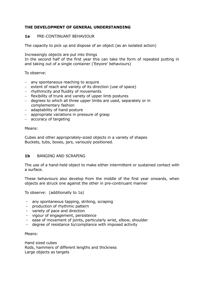#### **THE DEVELOPMENT OF GENERAL UNDERSTANDING**

#### **1a** PRE-CONTINUANT BEHAVIOUR

The capacity to pick up and dispose of an object (as an isolated action)

Increasingly objects are put into things

In the second half of the first year this can take the form of repeated putting in and taking out of a single container ('Eeyore' behaviours)

To observe:

- any spontaneous reaching to acquire
- extent of reach and variety of its direction (use of space)
- $-$  rhythmicity and fluidity of movements
- flexibility of trunk and variety of upper limb postures
- degrees to which all three upper limbs are used, separately or in complementary fashion
- adaptability of hand posture
- appropriate variations in pressure of grasp
- accuracy of targeting

#### Means:

Cubes and other appropriately-sized objects in a variety of shapes Buckets, tubs, boxes, jars, variously positioned.

#### **1b** BANGING AND SCRAPING

The use of a hand-held object to make either intermittent or sustained contact with a surface.

These behaviours also develop from the middle of the first year onwards, when objects are struck one against the other in pre-continuant manner

To observe: (additionally to 1a)

- any spontaneous tapping, striking, scraping
- production of rhythmic pattern
- variety of pace and direction
- vigour of engagement, persistence
- ease of movement of joints, particularly wrist, elbow, shoulder
- degree of resistance to/compliance with imposed activity

#### Means:

Hand sized cubes Rods, hammers of different lengths and thickness Large objects as targets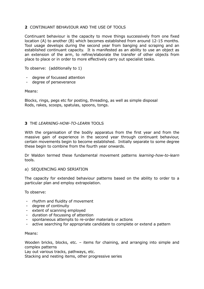#### **2** CONTINUANT BEHAVIOUR AND THE USE OF TOOLS

Continuant behaviour is the capacity to move things successively from one fixed location (A) to another (B) which becomes established from around 12-15 months. Tool usage develops during the second year from banging and scraping and an established continuant capacity. It is manifested as an ability to use an object as an extension of the arm, to refine/elaborate the transfer of other objects from place to place or in order to more effectively carry out specialist tasks.

To observe: (additionally to 1)

- degree of focussed attention
- degree of perseverance

Means:

Blocks, rings, pegs etc for posting, threading, as well as simple disposal Rods, rakes, scoops, spatulas, spoons, tongs.

#### **3** THE *LEARNING-HOW-TO-LEARN* TOOLS

With the organisation of the bodily apparatus from the first year and from the massive gain of experience in the second year through continuant behaviour, certain movements begin to become established. Initially separate to some degree these begin to combine from the fourth year onwards.

Dr Waldon termed these fundamental movement patterns *learning-how-to-learn* tools.

#### a) SEQUENCING AND SERIATION

The capacity for extended behaviour patterns based on the ability to order to a particular plan and employ extrapolation.

To observe:

- rhythm and fluidity of movement
- degree of continuity
- extent of scanning employed
- duration of focussing of attention
- spontaneous attempts to re-order materials or actions
- active searching for appropriate candidate to complete or extend a pattern

#### Means:

Wooden bricks, blocks, etc. – items for chaining, and arranging into simple and complex patterns

Lay out various tracks, pathways, etc.

Stacking and nesting items, other progressive series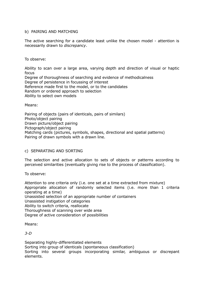#### b) PAIRING AND MATCHING

The active searching for a candidate least unlike the chosen model - attention is necessarily drawn to *discrepancy*.

To observe:

Ability to scan over a large area, varying depth and direction of visual or haptic focus Degree of thoroughness of searching and evidence of methodicalness Degree of persistence in focussing of interest Reference made first to the model, or to the candidates

Random or ordered approach to selection

Ability to select own models

Means:

Pairing of objects (pairs of identicals, pairs of similars) Photo/object pairing Drawn picture/object pairing Pictograph/object pairing Matching cards (pictures, symbols, shapes, directional and spatial patterns) Pairing of drawn symbols with a drawn line.

#### c) SEPARATING AND SORTING

The selection and active allocation to sets of objects or patterns according to perceived similarities (eventually giving rise to the process of classification).

To observe:

Attention to one criteria only (i.e. one set at a time extracted from mixture) Appropriate allocation of randomly selected items (i.e. more than 1 criteria operating at a time) Unassisted selection of an appropriate number of containers Unassisted instigation of categories Ability to switch criteria, reallocate Thoroughness of scanning over wide area Degree of active consideration of possibilities

Means:

*3-D*

Separating highly-differentiated elements Sorting into group of identicals (spontaneous classification) Sorting into several groups incorporating similar, ambiguous or discrepant elements.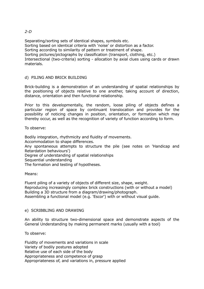#### *2-D*

Separating/sorting sets of identical shapes, symbols etc. Sorting based on identical criteria with 'noise' or distortion as a factor. Sorting according to similarity of pattern or treatment of shape. Sorting pictures/pictographs by classification (transport, clothing, etc.) Intersectional (two-criteria) sorting - allocation by axial clues using cards or drawn materials.

#### d) PILING AND BRICK BUILDING

Brick-building is a demonstration of an understanding of spatial relationships by the positioning of objects relative to one another, taking account of direction, distance, orientation and then functional relationship.

Prior to this developmentally, the random, loose piling of objects defines a particular region of space by continuant translocation and provides for the possibility of noticing changes in position, orientation, or formation which may thereby occur, as well as the recognition of variety of function according to form.

To observe:

Bodily integration, rhythmicity and fluidity of movements.

Accommodation to shape differences.

Any spontaneous attempts to structure the pile (see notes on 'Handicap and Retardation behaviours')

Degree of understanding of spatial relationships

Sequential understanding

The formation and testing of hypotheses.

Means:

Fluent piling of a variety of objects of different size, shape, weight. Reproducing increasingly complex brick constructions (with or without a model) Building a 3D structure from a diagram/drawing/photograph. Assembling a functional model (e.g. 'Escor') with or without visual guide.

#### e) SCRIBBLING AND DRAWING

An ability to structure two-dimensional space and demonstrate aspects of the General Understanding by making permanent marks (usually with a tool)

To observe:

Fluidity of movements and variations in scale Variety of bodily postures adopted Relative use of each side of the body Appropriateness and competence of grasp Appropriateness of, and variations in, pressure applied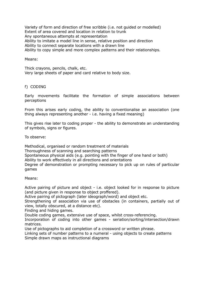Variety of form and direction of free scribble (i.e. not guided or modelled) Extent of area covered and location in relation to trunk Any spontaneous attempts at representation Ability to imitate a model line in sense, relative position and direction Ability to connect separate locations with a drawn line Ability to copy simple and more complex patterns and their relationships.

#### Means:

Thick crayons, pencils, chalk, etc. Very large sheets of paper and card relative to body size.

#### f) CODING

Early movements facilitate the formation of simple associations between perceptions

From this arises early coding, the ability to conventionalise an association (one thing always representing another - i.e. having a fixed meaning)

This gives rise later to coding proper - the ability to demonstrate an understanding of symbols, signs or figures.

To observe:

Methodical, organised or random treatment of materials Thoroughness of scanning and searching patterns Spontaneous physical aids (e.g. pointing with the finger of one hand or both) Ability to work effectively in all directions and orientations Degree of demonstration or prompting necessary to pick up on rules of particular games

Means:

Active pairing of picture and object - i.e. object looked for in response to picture (and picture given in response to object proffered).

Active pairing of pictograph (later ideograph/word) and object etc.

Strengthening of association via use of obstacles (in containers, partially out of view, totally obscured, at a distance etc).

Finding and hiding games.

Double coding games, extensive use of space, whilst cross-referencing.

Incorporation of coding into other games - seriation/sorting/intersection/drawn matrices.

Use of pictographs to aid completion of a crossword or written phrase.

Linking sets of number patterns to a numeral - using objects to create patterns Simple drawn maps as instructional diagrams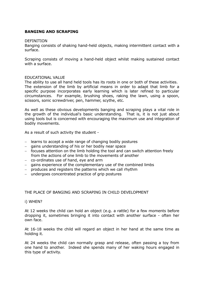#### **BANGING AND SCRAPING**

#### DEFINITION

Banging consists of shaking hand-held objects, making intermittent contact with a surface.

Scraping consists of moving a hand-held object whilst making sustained contact with a surface.

#### EDUCATIONAL VALUE

The ability to use all hand held tools has its roots in one or both of these activities. The extension of the limb by artificial means in order to adapt that limb for a specific purpose incorporates early learning which is later refined to particular circumstances. For example, brushing shoes, raking the lawn, using a spoon, scissors, sonic screwdriver, pen, hammer, scythe, etc.

As well as these obvious developments banging and scraping plays a vital role in the growth of the individual's basic understanding. That is, it is not just about using tools but is concerned with encouraging the maximum use and integration of bodily movements.

As a result of such activity the student -

- $-$  learns to accept a wide range of changing bodily postures
- $-$  gains understanding of his or her bodily near space
- focuses attention on the limb holding the tool and can switch attention freely from the actions of one limb to the movements of another
- co-ordinates use of hand, eye and arm
- gains experience of the complementary use of the combined limbs
- produces and registers the patterns which we call rhythm
- undergoes concentrated practice of grip postures

#### THE PLACE OF BANGING AND SCRAPING IN CHILD DEVELOPMENT

#### i) WHEN?

At 12 weeks the child can hold an object (e.g. a rattle) for a few moments before dropping it, sometimes bringing it into contact with another surface - often her own face.

At 16-18 weeks the child will regard an object in her hand at the same time as holding it.

At 24 weeks the child can normally grasp and release, often passing a toy from one hand to another. Indeed she spends many of her waking hours engaged in this type of activity.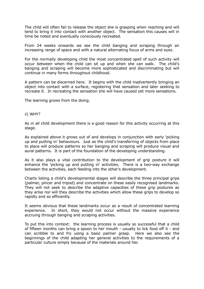The child will often fail to release the object she is grasping when reaching and will tend to bring it into contact with another object. The sensation this causes will in time be noted and eventually consciously recreated.

From 24 weeks onwards we see the child banging and scraping through an increasing range of space and with a natural alternating focus of arms and eyes.

For the normally developing child the most concentrated spell of such activity will occur between when the child can sit up and when she can walk. The child's banging and scraping will become more sophisticated and discriminating but will continue in many forms throughout childhood.

A pattern can be discerned here. It begins with the child inadvertently bringing an object into contact with a surface, registering that sensation and later seeking to recreate it. In recreating the sensation she will have caused yet more sensations.

The learning grows from the doing.

#### ii) WHY?

As in all child development there is a good reason for this activity occurring at this stage.

As explained above it grows out of and develops in conjunction with early 'picking up and putting in' behaviours. Just as the child's transferring of objects from place to place will produce patterns so her banging and scraping will produce visual and aural patterns. It is part of the foundation of the developing understanding.

As it also plays a vital contribution to the development of grip posture it will enhance the 'picking up and putting in' activities. There is a two-way exchange between the activities, each feeding into the other's development.

Charts listing a child's developmental stages will describe the three principal grips (palmer, pincer and tripod) and concentrate on these easily recognised landmarks. They will not seek to describe the adaptive capacities of these grip postures as they arise nor will they describe the activities which allow these grips to develop so rapidly and so efficiently.

It seems obvious that these landmarks occur as a result of concentrated learning experience. In short, they would not occur without the massive experience accruing through banging and scraping activities.

To put this into context: the learning process is usually so successful that a child of fifteen months can bring a spoon to her mouth - usually to lick food off it - and can scribble to and fro using a basic palmer grasp. Here we also see the beginnings of the child adapting her general activities to the requirements of a particular culture simply because of the materials around her.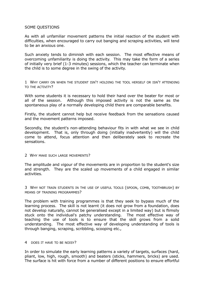#### SOME QUESTIONS

As with all unfamiliar movement patterns the initial reaction of the student with difficulties, when encouraged to carry out banging and scraping activities, will tend to be an anxious one.

Such anxiety tends to diminish with each session. The most effective means of overcoming unfamiliarity is doing the activity. This may take the form of a series of initially very brief (1-3 minutes) sessions, which the teacher can terminate when the child is to some degree in the swing of the activity.

1 WHY CARRY ON WHEN THE STUDENT ISN'T HOLDING THE TOOL HERSELF OR ISN'T ATTENDING TO THE ACTIVITY?

With some students it is necessary to hold their hand over the beater for most or all of the session. Although this imposed activity is not the same as the spontaneous play of a normally developing child there are comparable benefits.

Firstly, the student cannot help but receive feedback from the sensations caused and the movement patterns imposed.

Secondly, the student's non-attending behaviour fits in with what we see in child development. That is, only through doing (initially inadvertently) will the child come to attend, focus attention and then deliberately seek to recreate the sensations.

#### 2 WHY MAKE SUCH LARGE MOVEMENTS?

The amplitude and vigour of the movements are in proportion to the student's size and strength. They are the scaled up movements of a child engaged in similar activities.

3 WHY NOT TRAIN STUDENTS IN THE USE OF USEFUL TOOLS (SPOON, COMB, TOOTHBRUSH) BY MEANS OF TRAINING PROGRAMMES?

The problem with training programmes is that they seek to bypass much of the learning process. The skill is not learnt (it does not grow from a foundation, does not develop naturally, cannot be generalised except in a limited way) but is flimsily stuck onto the individual's patchy understanding. The most effective way of teaching the use of tools is to ensure that the skill grows from a solid understanding. The most effective way of developing understanding of tools is through banging, scraping, scribbling, scooping etc.,

#### 4 DOES IT HAVE TO BE NOISY?

In order to simulate the early learning patterns a variety of targets, surfaces (hard, pliant, low, high, rough, smooth) and beaters (sticks, hammers, bricks) are used. The surface is hit with force from a number of different positions to ensure effortful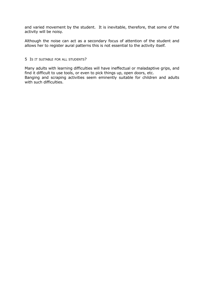and varied movement by the student. It is inevitable, therefore, that some of the activity will be noisy.

Although the noise can act as a secondary focus of attention of the student and allows her to register aural patterns this is not essential to the activity itself.

#### 5 IS IT SUITABLE FOR ALL STUDENTS?

Many adults with learning difficulties will have ineffectual or maladaptive grips, and find it difficult to use tools, or even to pick things up, open doors, etc. Banging and scraping activities seem eminently suitable for children and adults with such difficulties.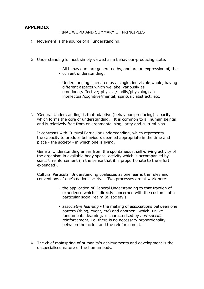#### **APPENDIX**

#### FINAL WORD AND SUMMARY OF PRINCIPLES

- 1 Movement is the source of all understanding.
- 2 Understanding is most simply viewed as a behaviour-producing state.
	- All behaviours are generated by, and are an expression of, the
	- current understanding.
	- Understanding is created as a single, indivisible whole, having different aspects which we label variously as emotional/affective; physical/bodily/physiological; intellectual/cognitive/mental; spiritual; abstract; etc.
- 3 'General Understanding' is that adaptive (behaviour-producing) capacity which forms the core of understanding. It is common to all human beings and is relatively free from environmental singularity and cultural bias.

It contrasts with Cultural Particular Understanding, which represents the capacity to produce behaviours deemed appropriate in the time and place - the society - in which one is living.

General Understanding arises from the spontaneous, self-driving activity of the organism in available body space, activity which is accompanied by *specific* reinforcement (in the sense that it is proportionate to the effort expended).

Cultural Particular Understanding coalesces as one learns the rules and conventions of one's native society. Two processes are at work here:

- the application of General Understanding to that fraction of experience which is directly concerned with the customs of a particular social realm (a 'society')
- *associative learning* the making of associations between one pattern (thing, event, etc) and another - which, unlike fundamental learning, is characterised by *non-specific* reinforcement, i.e. there is no necessary proportionality between the action and the reinforcement.
- 4 The chief mainspring of humanity's achievements and development is the unspecialised nature of the human body.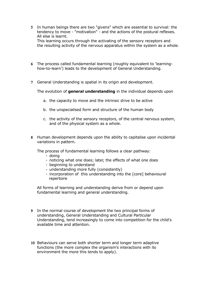5 In human beings there are two "givens" which are essential to survival: the tendency to move - "motivation" - and the actions of the postural reflexes. All else is learnt. This learning occurs through the activating of the sensory receptors and

the resulting activity of the nervous apparatus within the system as a whole.

- 6 The process called fundamental learning (roughly equivalent to 'learninghow-to-learn') leads to the development of General Understanding.
- 7 General Understanding is spatial in its origin and development.

The evolution of **general understanding** in the individual depends upon

- a. the capacity to move and the intrinsic drive to be active
- b. the unspecialised form and structure of the human body
- c. the activity of the sensory receptors, of the central nervous system, and of the physical system as a whole.
- 8 Human development depends upon the ability to capitalise upon incidental variations in pattern.
	- The process of fundamental learning follows a clear pathway:
		- doing
		- noticing what one does; later, the effects of what one does
		- beginning to understand
		- understanding more fully (consistently)
		- incorporation of this understanding into the [core] behavioural repertoire

All forms of learning and understanding derive from or depend upon fundamental learning and general understanding.

- 9 In the normal course of development the two principal forms of understanding, General Understanding and Cultural Particular Understanding, tend increasingly to come into competition for the child's available time and attention.
- 10 Behaviours can serve both shorter term and longer term adaptive functions (the more complex the organism's interactions with its environment the more this tends to apply).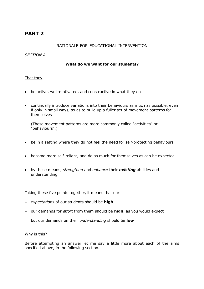## **PART 2**

#### RATIONALE FOR EDUCATIONAL INTERVENTION

#### *SECTION A*

#### **What do we want for our students?**

#### That they

- be active, well-motivated, and constructive in what they do
- continually introduce variations into their behaviours as much as possible, even if only in small ways, so as to build up a fuller set of movement patterns for themselves

(These movement patterns are more commonly called "activities" or "behaviours".)

- be in a setting where they do not feel the need for self-protecting behaviours
- become more self-reliant, and do as much for themselves as can be expected
- by these means, *strengthen* and *enhance* their *existing* abilities and understanding

Taking these five points together, it means that our

- *expectations* of our students should be **high**
- our demands for *effort* from them should be **high**, as you would expect
- but our demands on their *understanding* should be **low**

Why is this?

Before attempting an answer let me say a little more about each of the aims specified above, in the following section.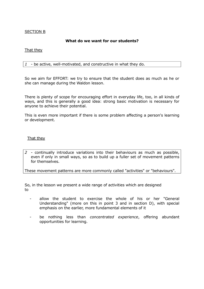#### SECTION B

#### **What do we want for our students?**

#### That they

*1* - be active, well-motivated, and constructive in what they do.

So we aim for EFFORT: we try to ensure that the student does as much as he or she can manage during the Waldon lesson.

There is plenty of scope for encouraging effort in everyday life, too, in all kinds of ways, and this is generally a good idea: strong basic motivation is necessary for anyone to achieve their potential.

This is even more important if there is some problem affecting a person's learning or development.

#### That they

*2* - continually introduce variations into their behaviours as much as possible, even if only in small ways, so as to build up a fuller set of movement patterns for themselves.

These movement patterns are more commonly called "activities" or "behaviours".

So, in the lesson we present a wide range of activities which are designed to

- allow the student to exercise the whole of his or her "General Understanding" (more on this in point 3 and in section D), with special emphasis on the earlier, more fundamental elements of it
- be nothing less than *concentrated experience*, offering abundant opportunities for learning.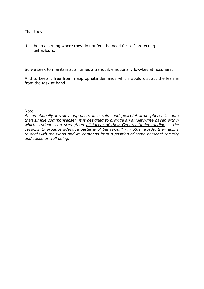#### That they

#### *3* - be in a setting where they do not feel the need for self-protecting behaviours.

So we seek to maintain at all times a tranquil, emotionally low-key atmosphere.

And to keep it free from inappropriate demands which would distract the learner from the task at hand.

#### Note

*An emotionally low-key approach, in a calm and peaceful atmosphere, is more than simple commonsense: it is designed to provide an anxiety-free haven within which students can strengthen all facets of their General Understanding - "the capacity to produce adaptive patterns of behaviour" - in other words, their ability to deal with the world and its demands from a position of some personal security and sense of well being.*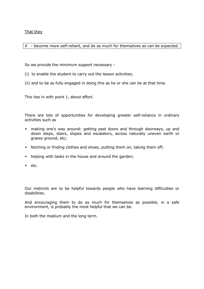That they

*4* - become more self-reliant, and do as much for themselves as can be expected.

So we provide the minimum support necessary -

- (i) to enable the student to carry out the lesson activities;
- (ii) and to be as fully engaged in doing this as he or she can be at that time.

This ties in with point 1, about effort.

There are lots of opportunities for developing greater self-reliance in ordinary activities such as

- making one's way around: getting past doors and through doorways, up and down steps, stairs, slopes and escalators, across naturally uneven earth or grassy ground, etc;
- **fian** fetching or finding clothes and shoes, putting them on, taking them off;
- **helping with tasks in the house and around the garden;**
- $\blacksquare$  etc.

Our instincts are to be helpful towards people who have learning difficulties or disabilities.

And encouraging them to do as much for themselves as possible, in a safe environment, is probably the most helpful that we can be.

In both the medium and the long term.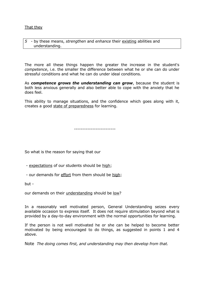#### That they

*5* - by these means, *strengthen* and *enhance* their existing abilities and understanding.

The more all these things happen the greater the increase in the student's *competence*, i.e. the smaller the difference between what he or she can do under stressful conditions and what he can do under ideal conditions.

As *competence grows the understanding can grow*, because the student is both less anxious generally and also better able to cope with the anxiety that he does feel.

This ability to manage situations, and the confidence which goes along with it, creates a good state of preparedness for learning.

-------------------------

So what is the reason for saying that our

- expectations of our students should be high;
- our demands for effort from them should be high;

but -

our demands on their understanding should be low?

In a reasonably well motivated person, General Understanding seizes every available occasion to express itself. It does not require stimulation beyond what is provided by a day-to-day environment with the normal opportunities for learning.

If the person is not well motivated he or she can be helped to become better motivated by being encouraged to do things, as suggested in points 1 and 4 above.

Note *The doing comes first, and understanding may then develop from that.*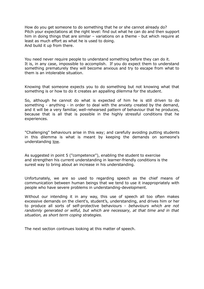How do you get someone to do something that he or she cannot already do? Pitch your expectations at the right level: find out what he can do and then support him in doing things that are similar – variations on a theme - but which require at least as much effort as what he is used to doing. And build it up from there.

You need never require people to understand something before they can do it. It is, in any case, impossible to accomplish. If you do expect them to understand something prematurely they will become anxious and try to escape from what to them is an intolerable situation.

Knowing that someone expects you to do something but not knowing what that something is or how to do it creates an appalling dilemma for the student.

So, although he cannot do what is expected of him he is still driven to do something - anything - in order to deal with the anxiety created by the demand, and it will be a very familiar, well-rehearsed pattern of behaviour that he produces, because that is all that is possible in the highly stressful conditions that he experiences.

"Challenging" behaviours arise in this way; and carefully avoiding putting students in this dilemma is what is meant by keeping the demands on someone's understanding low.

As suggested in point 5 ("competence"), enabling the student to exercise and strengthen his current understanding in learner-friendly conditions is the surest way to bring about an increase in his understanding.

Unfortunately, we are so used to regarding speech as the chief means of communication between human beings that we tend to use it inappropriately with people who have severe problems in understanding-development.

Without our intending it in any way, this use of speech all too often makes excessive demands on the client's, student's, understanding, and drives him or her to produce all sorts of self-protective behaviours - *behaviours which are not randomly generated or wilful, but which are necessary, at that time and in that situation, as short term coping strategies.*

The next section continues looking at this matter of speech.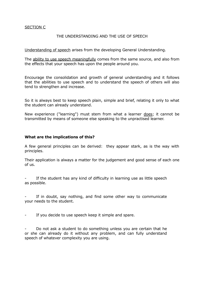#### SECTION C

#### THE UNDERSTANDING AND THE USE OF SPEECH

Understanding of speech arises from the developing General Understanding.

The ability to use speech meaningfully comes from the same source, and also from the effects that your speech has upon the people around you.

Encourage the consolidation and growth of general understanding and it follows that the abilities to use speech and to understand the speech of others will also tend to strengthen and increase.

So it is always best to keep speech plain, simple and brief, relating it only to what the student can already understand.

New experience ("learning") must stem from what a learner does; it cannot be transmitted by means of someone else speaking to the unpractised learner.

#### **What are the implications of this?**

A few general principles can be derived: they appear stark, as is the way with principles.

Their application is always a matter for the judgement and good sense of each one of us.

If the student has any kind of difficulty in learning use as little speech as possible.

If in doubt, say nothing, and find some other way to communicate your needs to the student.

- If you decide to use speech keep it simple and spare.

Do not ask a student to do something unless you are certain that he or she can already do it without any problem, and can fully understand speech of whatever complexity you are using.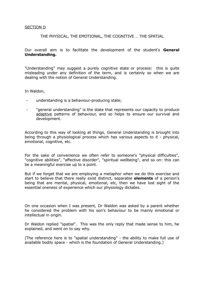#### SECTION D

#### THE PHYSICAL, THE EMOTIONAL, THE COGNITIVE … THE SPATIAL

Our overall aim is to facilitate the development of the student's **General Understanding.** 

"Understanding" may suggest a purely cognitive state or process: this is quite misleading under any definition of the term, and is certainly so when we are dealing with the notion of General Understanding.

In Waldon,

- understanding is a behaviour-producing state;
- "general understanding" is the state that represents our capacity to produce adaptive patterns of behaviour, and so helps to ensure our survival and development.

According to this way of looking at things, General Understanding is brought into being through a physiological process which has various aspects to it - physical, emotional, cognitive, etc.

For the sake of convenience we often refer to someone's "physical difficulties", "cognitive abilities", "affective disorder", "spiritual wellbeing", and so on: this can be a meaningful exercise up to a point.

But if we forget that we are employing a metaphor when we do this exercise and start to believe that there really exist distinct, separable **elements** of a person's being that are mental, physical, emotional, etc, then we have lost sight of the essential oneness of experience which our physiology dictates.

On one occasion when I was present, Dr Waldon was asked by a parent whether he considered the problem with his son's behaviour to be mainly emotional or intellectual in origin.

Dr Waldon replied "spatial". This was the only reply that made sense to him, he explained, and went on to say why.

(The reference here is to "spatial understanding" - the ability to make full use of available bodily space - which is the foundation of General Understanding.)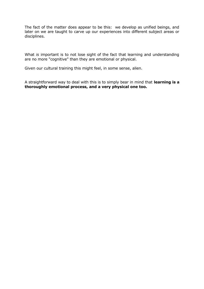The fact of the matter does appear to be this: we develop as unified beings, and later on we are taught to carve up our experiences into different subject areas or disciplines.

What *is* important is to not lose sight of the fact that learning and understanding are no more "cognitive" than they are emotional or physical.

Given our cultural training this might feel, in some sense, alien.

A straightforward way to deal with this is to simply bear in mind that **learning is a thoroughly emotional process, and a very physical one too.**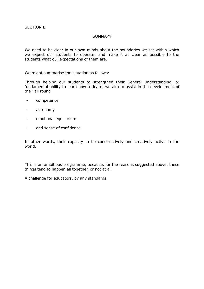#### SECTION E

#### **SUMMARY**

We need to be clear in our own minds about the boundaries we set within which we expect our students to operate; and make it as clear as possible to the students what our expectations of them are.

We might summarise the situation as follows:

Through helping our students to strengthen their General Understanding, or fundamental ability to learn-how-to-learn, we aim to assist in the development of their all round

- competence
- autonomy
- emotional equilibrium
- and sense of confidence

In other words, their capacity to be constructively and creatively active in the world.

This is an ambitious programme, because, for the reasons suggested above, these things tend to happen all together, or not at all.

A challenge for educators, by any standards.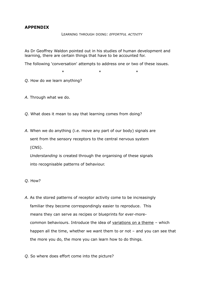#### **APPENDIX**

#### LEARNING THROUGH DOING: *EFFORTFUL ACTIVITY*

As Dr Geoffrey Waldon pointed out in his studies of human development and learning, there are certain things that have to be accounted for.

The following 'conversation' attempts to address one or two of these issues.

 $*$  \* \* \*

*Q.* How do we learn anything?

- *A.* Through what we do.
- *Q.* What does it mean to say that learning comes from doing?
- *A.* When we do anything (i.e. move any part of our body) signals are sent from the sensory receptors to the central nervous system (CNS).

 *Understanding* is created through the organising of these signals into recognisable patterns of behaviour.

- *Q.* How?
- *A.* As the stored patterns of receptor activity come to be increasingly familiar they become correspondingly easier to reproduce. This means they can serve as recipes or blueprints for ever-more common behaviours. Introduce the idea of variations on a theme – which happen all the time, whether we want them to or not – and you can see that the more you do, the more you can learn how to do things.
- *Q.* So where does effort come into the picture?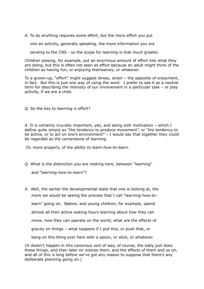*A.* To do anything requires some effort, but the more effort you put

into an activity, generally speaking, the more information you are

sending to the CNS - so the scope for learning is that much greater.

Children playing, for example, put an enormous amount of effort into what they are doing, but this is often not seen as effort because an adult might think of the children as having fun, or enjoying themselves, or whatever.

To a grown-up, "effort" might suggest stress, strain – the opposite of enjoyment, in fact. But this is just one way of using the word. I prefer to see it as a neutral term for describing the intensity of our involvement in a particular task – or play activity, if we are a child.

*Q.* So the key to learning is effort?

*A.* It is certainly crucially important, yes, and along with *motivation* – which I define quite simply as "the tendency to produce movement", or "the tendency to be active, or to act on one's environment" – I would say that together they could be regarded as the cornerstone of learning.

Or, more properly, of the *ability to learn-how-to-learn*.

*Q.* What is the distinction you are making here, between "learning"

and "learning-how-to-learn"?

*A.* Well, the earlier the developmental state that one is looking at, the more we would be seeing the process that I call "learning-how-to learn" going on. Babies, and young children, for example, spend almost all their active waking hours learning about how they can move, how they can operate on the world, what are the effects of gravity on things – what happens if I pull this, or push that, or bang on this thing over here with a spoon, or stick, or whatever.

(It doesn't happen in this conscious sort of way, of course, the baby just does these things, and then later on notices them, and the effects of them and so on, and all of this is long before we've got any reason to suppose that there's any deliberate planning going on.)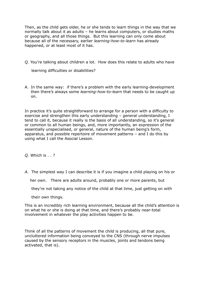Then, as the child gets older, he or she tends to learn things in the way that we normally talk about it as adults – he learns about computers, or studies maths or geography, and all those things. But this learning can only come about because all of the necessary, earlier *learning-how-to-learn* has already happened, or at least most of it has.

*Q.* You're talking about children a lot. How does this relate to adults who have

learning difficulties or disabilities?

A. In the same way: if there's a problem with the early learning-development then there's always some *learning-how-to-learn* that needs to be caught up on.

In practice it's quite straightforward to arrange for a person with a difficulty to exercise and strengthen this early understanding – *general* understanding, I tend to call it, because it really is the basis of all understanding, so it's general or common to all human beings, and, more importantly, an expression of the essentially unspecialised, or general, nature of the human being's form, apparatus, and possible repertoire of movement patterns – and I do this by using what I call the Asocial Lesson.

*Q.* Which is . . ?

*A.* The simplest way I can describe it is if you imagine a child playing on his or

her own. There are adults around, probably one or more parents, but

they're not taking any notice of the child at that time, just getting on with

their own things.

This is an incredibly rich learning environment, because all the child's attention is on what he or she is doing at that time, and there's probably near-total involvement in whatever the play activities happen to be.

Think of all the patterns of movement the child is producing, all that pure, uncluttered information being conveyed to the CNS (through nerve impulses caused by the sensory receptors in the muscles, joints and tendons being activated, that is).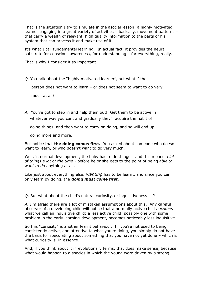That is the situation I try to simulate in the asocial lesson: a highly motivated learner engaging in a great variety of activities – basically, movement patterns – that carry a wealth of relevant, high quality information to the parts of his system that can process it and make use of it.

It's what I call fundamental learning. In actual fact, it provides the neural substrate for conscious awareness, for understanding – for everything, really.

That is why I consider it so important

*Q.* You talk about the "highly motivated learner", but what if the

person does not want to learn – or does not seem to want to do very

much at all?

*A.* You've got to step in and help them out! Get them to be active in whatever way you can, and gradually they'll acquire the habit of

doing things, and then want to carry on doing, and so will end up

doing more and more.

But notice that **the doing comes first.** You asked about someone who doesn't want to learn, or who doesn't want to do very much.

Well, in normal development, the baby has to do things – and this means *a lot of things a lot of the time* - before he or she gets to the point of being *able to want to do* anything at all.

Like just about everything else*, wanting* has to be learnt, and since you can only learn by doing, the *doing must come first.*

*Q.* But what about the child's natural curiosity, or inquisitiveness … ?

*A.* I'm afraid there are a lot of mistaken assumptions about this. Any careful observer of a developing child will notice that a normally active child *becomes* what we call an inquisitive child; a less active child, possibly one with some problem in the early learning-development, becomes noticeably less inquisitive.

So this "curiosity" is another learnt behaviour. If you're not used to being consistently active, and attentive to what you're doing, you simply do not have the basis for speculating about something that you have not yet done – which is what curiosity is, in essence.

And, if you think about it in evolutionary terms, that does make sense, because what would happen to a species in which the young were driven by a strong